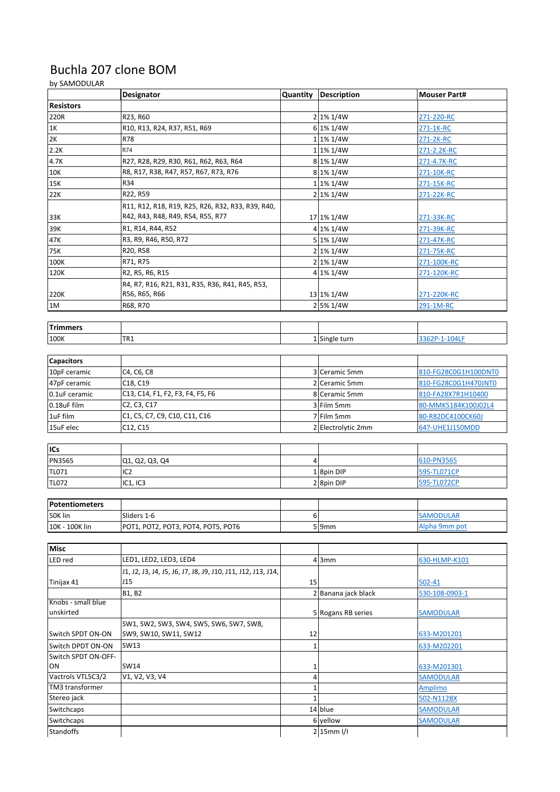## Buchla 207 clone BOM

## by SAMODULAR

| <b>Resistors</b><br>220R<br>2 1% 1/4W<br>R23, R60<br>271-220-RC<br>6 1% 1/4W<br>1K<br>R10, R13, R24, R37, R51, R69<br>271-1K-RC<br>R78<br>$1 1\% 1/4W$<br>2K<br>271-2K-RC<br>R74<br>2.2K<br>$1 1\% 1/4W$<br>271-2.2K-RC<br>R27, R28, R29, R30, R61, R62, R63, R64<br>4.7K<br>$8 1\% 1/4W$<br>271-4.7K-RC |  |
|----------------------------------------------------------------------------------------------------------------------------------------------------------------------------------------------------------------------------------------------------------------------------------------------------------|--|
|                                                                                                                                                                                                                                                                                                          |  |
|                                                                                                                                                                                                                                                                                                          |  |
|                                                                                                                                                                                                                                                                                                          |  |
|                                                                                                                                                                                                                                                                                                          |  |
|                                                                                                                                                                                                                                                                                                          |  |
|                                                                                                                                                                                                                                                                                                          |  |
| R8, R17, R38, R47, R57, R67, R73, R76<br>$8 1\% 1/4W$<br>10K<br>271-10K-RC                                                                                                                                                                                                                               |  |
| 15K<br>R34<br>1 1% 1/4W<br>271-15K-RC                                                                                                                                                                                                                                                                    |  |
| R22, R59<br>2 1% 1/4W<br>22K<br>271-22K-RC                                                                                                                                                                                                                                                               |  |
| R11, R12, R18, R19, R25, R26, R32, R33, R39, R40,                                                                                                                                                                                                                                                        |  |
| R42, R43, R48, R49, R54, R55, R77<br>33K<br>17 1% 1/4W<br>271-33K-RC                                                                                                                                                                                                                                     |  |
| R1, R14, R44, R52<br>4 1% 1/4W<br>39K<br>271-39K-RC                                                                                                                                                                                                                                                      |  |
| 5 1% 1/4W<br>47K<br>R3, R9, R46, R50, R72<br>271-47K-RC                                                                                                                                                                                                                                                  |  |
| 75K<br>R20, R58<br>2 1% 1/4W<br>271-75K-RC                                                                                                                                                                                                                                                               |  |
| 100K<br>2 1% 1/4W<br>R71, R75<br>271-100K-RC                                                                                                                                                                                                                                                             |  |
| R2, R5, R6, R15<br>4 1% 1/4W<br>120K<br>271-120K-RC                                                                                                                                                                                                                                                      |  |
| R4, R7, R16, R21, R31, R35, R36, R41, R45, R53,                                                                                                                                                                                                                                                          |  |
| R56, R65, R66<br>13 1% 1/4W<br>220K<br>271-220K-RC                                                                                                                                                                                                                                                       |  |
| 2 5% 1/4W<br>1M<br>291-1M-RC<br>R68, R70                                                                                                                                                                                                                                                                 |  |
|                                                                                                                                                                                                                                                                                                          |  |
| <b>Trimmers</b>                                                                                                                                                                                                                                                                                          |  |
| TR <sub>1</sub><br>100K<br>1 Single turn<br>3362P-1-104LF                                                                                                                                                                                                                                                |  |
|                                                                                                                                                                                                                                                                                                          |  |
| <b>Capacitors</b>                                                                                                                                                                                                                                                                                        |  |
| 10pF ceramic<br>3 Ceramic 5mm<br>C4, C6, C8<br>810-FG28C0G1H100DNT0                                                                                                                                                                                                                                      |  |
| 47pF ceramic<br>C18, C19<br>2 Ceramic 5mm<br>810-FG28C0G1H470JNT0                                                                                                                                                                                                                                        |  |
| 0.1uF ceramic<br>C13, C14, F1, F2, F3, F4, F5, F6<br>8 Ceramic 5mm<br>810-FA28X7R1H10400                                                                                                                                                                                                                 |  |
| C2, C3, C17<br>0.18uF film<br>3 Film 5mm<br>80-MMK5184K100J02L4                                                                                                                                                                                                                                          |  |
| 1uF film<br>C1, C5, C7, C9, C10, C11, C16<br>7 Film 5mm<br>80-R82DC4100CK60J                                                                                                                                                                                                                             |  |
| 15uF elec<br>C12, C15<br>2 Electrolytic 2mm<br>647-UHE1J150MDD                                                                                                                                                                                                                                           |  |
|                                                                                                                                                                                                                                                                                                          |  |
| ICs                                                                                                                                                                                                                                                                                                      |  |
| PN3565<br>610-PN3565<br>Q1, Q2, Q3, Q4<br>4                                                                                                                                                                                                                                                              |  |
| IC <sub>2</sub><br>$1 8$ pin DIP<br>TL071<br>595-TL071CP                                                                                                                                                                                                                                                 |  |
| 595-TL072CP<br><b>TL072</b><br>IC1, IC3<br>28pin DIP                                                                                                                                                                                                                                                     |  |
|                                                                                                                                                                                                                                                                                                          |  |
| Potentiometers                                                                                                                                                                                                                                                                                           |  |
| 50K lin<br>Sliders 1-6<br>6<br><b>SAMODULAR</b>                                                                                                                                                                                                                                                          |  |
| Alpha 9mm pot<br>10K - 100K lin<br>POT1, POT2, POT3, POT4, POT5, POT6<br>$5$  9mm                                                                                                                                                                                                                        |  |
|                                                                                                                                                                                                                                                                                                          |  |
| <b>Misc</b>                                                                                                                                                                                                                                                                                              |  |
| LED1, LED2, LED3, LED4<br>LED red<br>$4 \mid 3 \mid m$<br>630-HLMP-K101                                                                                                                                                                                                                                  |  |
| J1, J2, J3, J4, J5, J6, J7, J8, J9, J10, J11, J12, J13, J14,<br>J15                                                                                                                                                                                                                                      |  |
| Tinijax 41<br>15<br>502-41                                                                                                                                                                                                                                                                               |  |
| B1, B2<br>2 Banana jack black<br>530-108-0903-1<br>Knobs - small blue                                                                                                                                                                                                                                    |  |
| unskirted<br>5 Rogans RB series<br><b>SAMODULAR</b>                                                                                                                                                                                                                                                      |  |
| SW1, SW2, SW3, SW4, SW5, SW6, SW7, SW8,                                                                                                                                                                                                                                                                  |  |
| SW9, SW10, SW11, SW12<br>Switch SPDT ON-ON<br>12<br>633-M201201                                                                                                                                                                                                                                          |  |
| SW13<br>$\mathbf 1$<br>Switch DPDT ON-ON<br>633-M202201                                                                                                                                                                                                                                                  |  |
| Switch SPDT ON-OFF-                                                                                                                                                                                                                                                                                      |  |
| ON<br>SW14<br>633-M201301<br>1                                                                                                                                                                                                                                                                           |  |
| Vactrols VTL5C3/2<br>V1, V2, V3, V4<br>4<br><b>SAMODULAR</b>                                                                                                                                                                                                                                             |  |
| TM3 transformer<br>$\mathbf 1$<br><b>Amplimo</b>                                                                                                                                                                                                                                                         |  |
| Stereo jack<br>502-N112BX<br>$\mathbf{1}$                                                                                                                                                                                                                                                                |  |
| 14 blue<br>Switchcaps<br><b>SAMODULAR</b>                                                                                                                                                                                                                                                                |  |
| Switchcaps<br>6 yellow<br><b>SAMODULAR</b>                                                                                                                                                                                                                                                               |  |
| $2 15$ mm I/I<br><b>Standoffs</b>                                                                                                                                                                                                                                                                        |  |